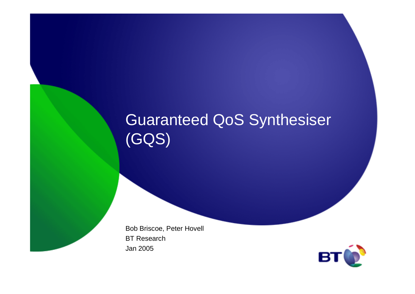### Guaranteed QoS Synthesiser(GQS)

Bob Briscoe, Peter Hovell BT ResearchJan 2005

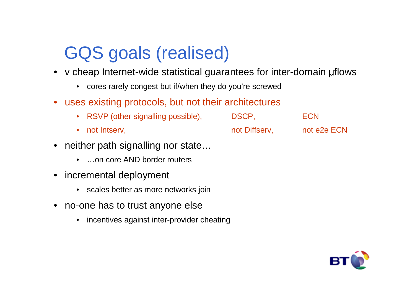# GQS goals (realised)

- v cheap Internet-wide statistical guarantees for inter-domain flows
	- cores rarely congest but if/when they do you're screwed
- uses existing protocols, but not their architectures
	- RSVP (other signalling possible), DSCP, ECN • not Intserv.
- neither path signalling nor state…
	- …on core AND border routers
- • incremental deployment
	- scales better as more networks join
- • no-one has to trust anyone else
	- incentives against inter-provider cheating

not Diffserv, not e2e ECN

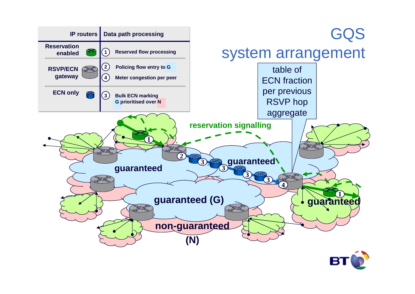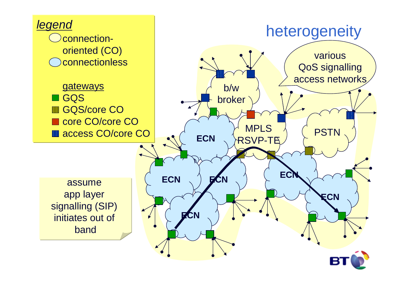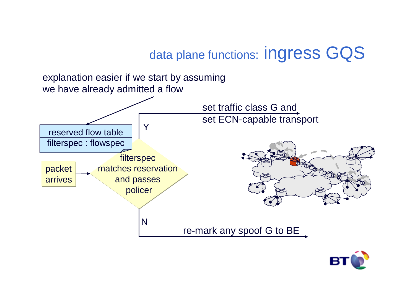data plane functions: Ingress GQS



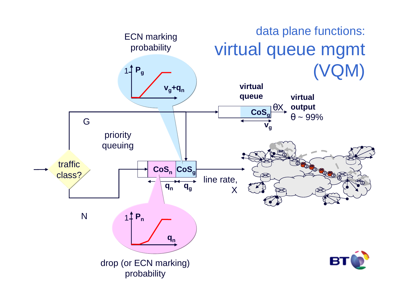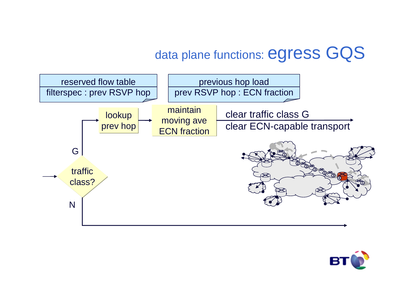### data plane functions: egress GQS



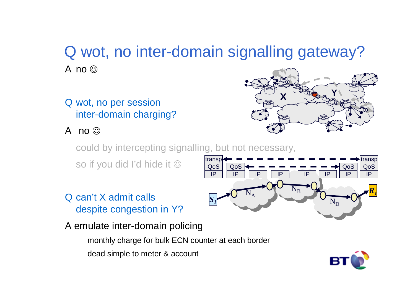### Q wot, no inter-domain signalling gateway?A no ©

Q wot, no per session inter-domain charging?

A no ©



could by intercepting signalling, but not necessary,

so if you did I'd hide it  $\mathbb {O}$ 

- Q can't X admit calls despite congestion in Y?
- A emulate inter-domain policing

monthly charge for bulk ECN counter at each border

dead simple to meter & account



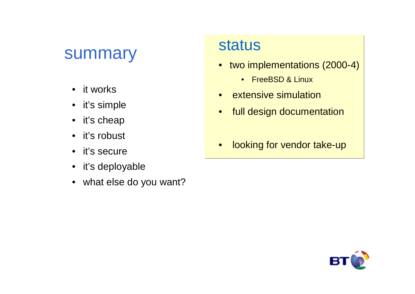#### summary

- $\bullet$ it works
- it's simple
- it's cheap
- $\bullet$ it's robust
- it's secure
- it's deployable
- what else do you want?

#### status

- two implementations (2000-4)
	- FreeBSD & Linux
- $\bullet$ extensive simulation
- •full design documentation
- •looking for vendor take-up

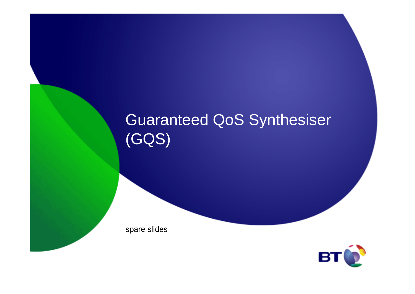## Guaranteed QoS Synthesiser(GQS)

spare slides

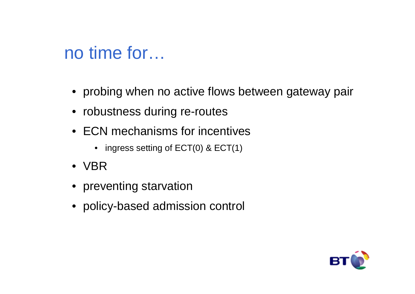# no time for…

- probing when no active flows between gateway pair
- robustness during re-routes
- ECN mechanisms for incentives
	- $\bullet$   $\,$  ingress setting of ECT(0) & ECT(1)  $\,$
- VBR
- preventing starvation
- policy-based admission control